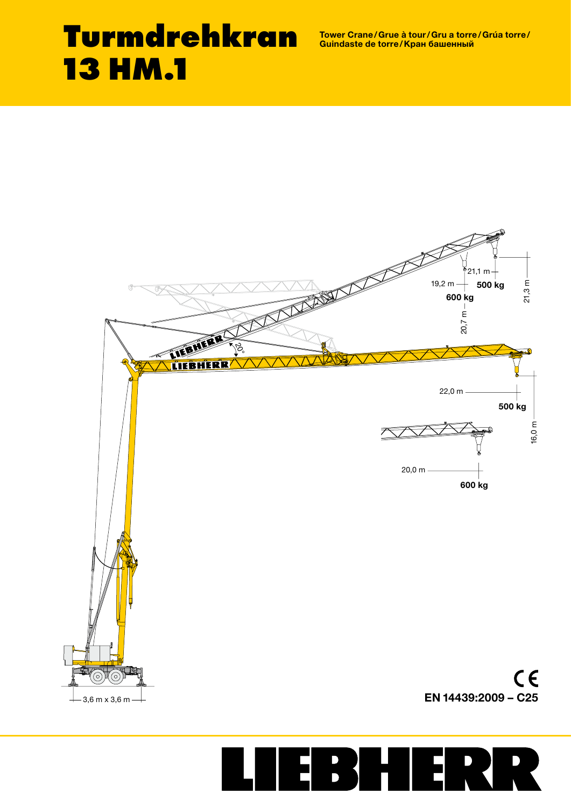Tower Crane/Grue à tour/Gru a torre/Grúa torre/ Guindaste de torre/Кран башенный

# **Turmdrehkran 13 HM.1**



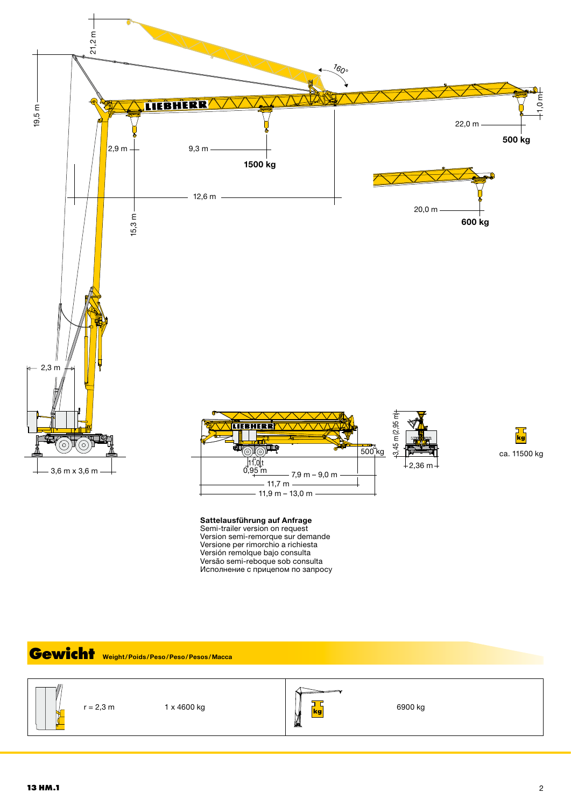



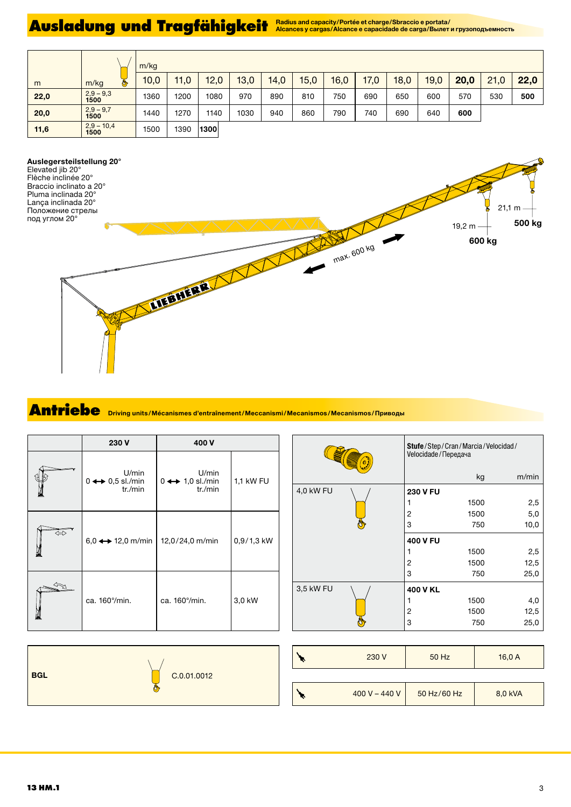## Ausladung und Tragfähigkeit Alcances y cargas/Alcance e capacidade de carga/Bunat и грузоподъемность

|      |                      | m/kg |      |      |      |      |      |      |      |      |      |      |      |      |
|------|----------------------|------|------|------|------|------|------|------|------|------|------|------|------|------|
| m    | m/kg<br>◔            | 10,0 | 11,0 | 12,0 | 13,0 | 14,0 | 15,0 | 16,0 | 17,0 | 18,0 | 19,0 | 20,0 | 21,0 | 22,0 |
| 22,0 | $2,9 - 9,3$<br>1500  | 1360 | 1200 | 1080 | 970  | 890  | 810  | 750  | 690  | 650  | 600  | 570  | 530  | 500  |
| 20,0 | $2,9 - 9,7$<br>1500  | 1440 | 1270 | 1140 | 1030 | 940  | 860  | 790  | 740  | 690  | 640  | 600  |      |      |
| 11,6 | $2,9 - 10,4$<br>1500 | 1500 | 1390 | 1300 |      |      |      |      |      |      |      |      |      |      |

#### Auslegersteilstellung 20°

Elevated jib 20° Flèche inclinée 20° Braccio inclinato a 20° Pluma inclinada 20° Lança inclinada 20° Положение стрелы под углом 20°



## **Antriebe** Driving units/Mécanismes d'entraînement/Meccanismi/Mecanismos/Mecanismos/Приводы

|   | 230 V                                               | 400 V                                               |              |
|---|-----------------------------------------------------|-----------------------------------------------------|--------------|
|   | U/min<br>$0 \leftrightarrow 0.5$ sl./min<br>tr./min | U/min<br>$0 \leftrightarrow 1,0$ sl./min<br>tr./min | 1,1 kW FU    |
| ⇔ | $6,0 \leftrightarrow 12,0$ m/min                    | 12,0/24,0 m/min                                     | $0,9/1,3$ kW |
|   | ca. 160% min.                                       | ca. 160%min.                                        | 3,0 kW       |

|           | Stufe/Step/Cran/Marcia/Velocidad/<br>Velocidade / Передача |       |  |  |  |
|-----------|------------------------------------------------------------|-------|--|--|--|
|           | kg                                                         | m/min |  |  |  |
| 4,0 kW FU | <b>230 V FU</b>                                            |       |  |  |  |
|           | 1500                                                       | 2,5   |  |  |  |
|           | 1500<br>2                                                  | 5,0   |  |  |  |
|           | 3<br>750                                                   | 10,0  |  |  |  |
|           | 400 V FU                                                   |       |  |  |  |
|           | 1500                                                       | 2,5   |  |  |  |
|           | 2<br>1500                                                  | 12,5  |  |  |  |
|           | 3<br>750                                                   | 25,0  |  |  |  |
| 3,5 kW FU | 400 V KL                                                   |       |  |  |  |
|           | 1500                                                       | 4,0   |  |  |  |
|           | 1500<br>2                                                  | 12,5  |  |  |  |
|           | 3<br>750                                                   | 25,0  |  |  |  |

| <b>BGL</b><br>C.0.01.0012 |
|---------------------------|
|---------------------------|

| 230 V         | 50 Hz       | 16,0A   |  |  |
|---------------|-------------|---------|--|--|
|               |             |         |  |  |
| 400 V - 440 V | 50 Hz/60 Hz | 8,0 kVA |  |  |